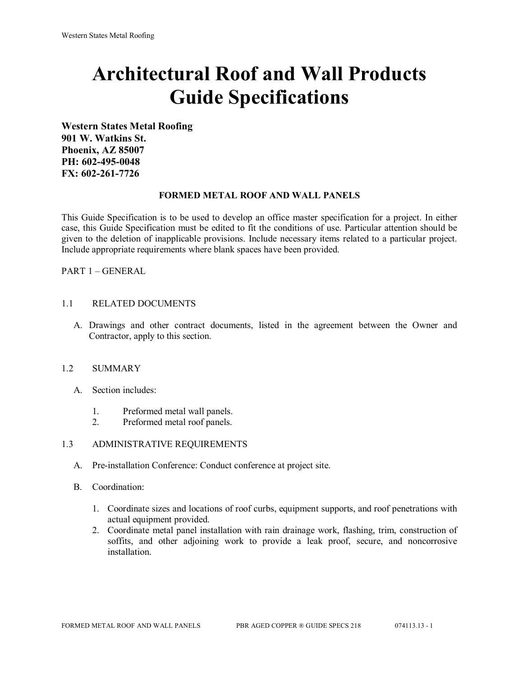# **Architectural Roof and Wall Products Guide Specifications**

**Western States Metal Roofing 901 W. Watkins St. Phoenix, AZ 85007 PH: 602-495-0048 FX: 602-261-7726**

## **FORMED METAL ROOF AND WALL PANELS**

This Guide Specification is to be used to develop an office master specification for a project. In either case, this Guide Specification must be edited to fit the conditions of use. Particular attention should be given to the deletion of inapplicable provisions. Include necessary items related to a particular project. Include appropriate requirements where blank spaces have been provided.

PART 1 – GENERAL

## 1.1 RELATED DOCUMENTS

A. Drawings and other contract documents, listed in the agreement between the Owner and Contractor, apply to this section.

#### 1.2 SUMMARY

- A. Section includes:
	- 1. Preformed metal wall panels.
	- 2. Preformed metal roof panels.

#### 1.3 ADMINISTRATIVE REQUIREMENTS

- A. Pre-installation Conference: Conduct conference at project site.
- B. Coordination:
	- 1. Coordinate sizes and locations of roof curbs, equipment supports, and roof penetrations with actual equipment provided.
	- 2. Coordinate metal panel installation with rain drainage work, flashing, trim, construction of soffits, and other adjoining work to provide a leak proof, secure, and noncorrosive installation.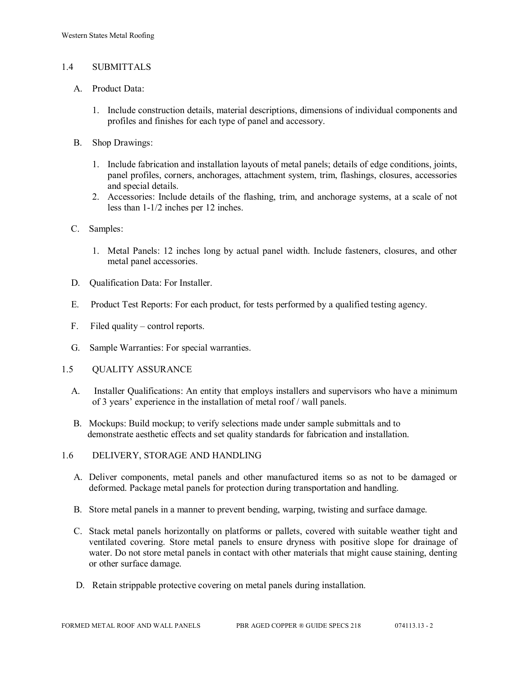## 1.4 SUBMITTALS

- A. Product Data:
	- 1. Include construction details, material descriptions, dimensions of individual components and profiles and finishes for each type of panel and accessory.
- B. Shop Drawings:
	- 1. Include fabrication and installation layouts of metal panels; details of edge conditions, joints, panel profiles, corners, anchorages, attachment system, trim, flashings, closures, accessories and special details.
	- 2. Accessories: Include details of the flashing, trim, and anchorage systems, at a scale of not less than 1-1/2 inches per 12 inches.
- C. Samples:
	- 1. Metal Panels: 12 inches long by actual panel width. Include fasteners, closures, and other metal panel accessories.
- D. Qualification Data: For Installer.
- E. Product Test Reports: For each product, for tests performed by a qualified testing agency.
- F. Filed quality control reports.
- G. Sample Warranties: For special warranties.
- 1.5 QUALITY ASSURANCE
	- A. Installer Qualifications: An entity that employs installers and supervisors who have a minimum of 3 years' experience in the installation of metal roof / wall panels.
	- B. Mockups: Build mockup; to verify selections made under sample submittals and to demonstrate aesthetic effects and set quality standards for fabrication and installation.
- 1.6 DELIVERY, STORAGE AND HANDLING
	- A. Deliver components, metal panels and other manufactured items so as not to be damaged or deformed. Package metal panels for protection during transportation and handling.
	- B. Store metal panels in a manner to prevent bending, warping, twisting and surface damage.
	- C. Stack metal panels horizontally on platforms or pallets, covered with suitable weather tight and ventilated covering. Store metal panels to ensure dryness with positive slope for drainage of water. Do not store metal panels in contact with other materials that might cause staining, denting or other surface damage.
	- D. Retain strippable protective covering on metal panels during installation.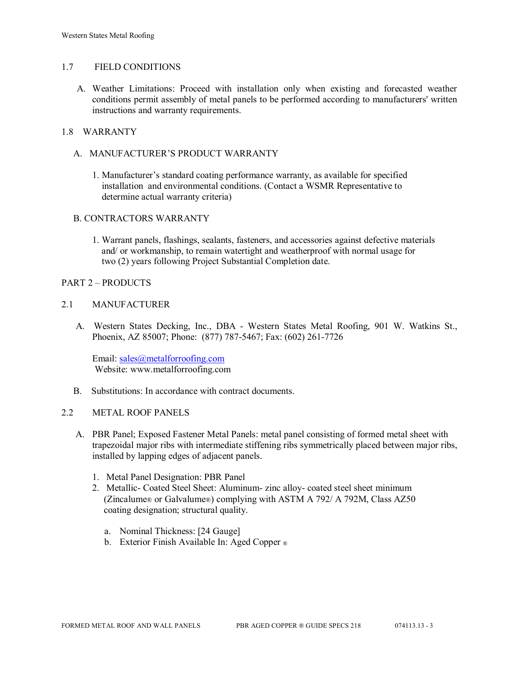## 1.7 FIELD CONDITIONS

A. Weather Limitations: Proceed with installation only when existing and forecasted weather conditions permit assembly of metal panels to be performed according to manufacturers' written instructions and warranty requirements.

## 1.8 WARRANTY

- A. MANUFACTURER'S PRODUCT WARRANTY
	- 1. Manufacturer's standard coating performance warranty, as available for specified installation and environmental conditions. (Contact a WSMR Representative to determine actual warranty criteria)

## B. CONTRACTORS WARRANTY

1. Warrant panels, flashings, sealants, fasteners, and accessories against defective materials and/ or workmanship, to remain watertight and weatherproof with normal usage for two (2) years following Project Substantial Completion date.

## PART 2 – PRODUCTS

## 2.1 MANUFACTURER

 A. Western States Decking, Inc., DBA - Western States Metal Roofing, 901 W. Watkins St., Phoenix, AZ 85007; Phone: (877) 787-5467; Fax: (602) 261-7726

Email: [sales@metalforroofing.com](mailto:sales@metalforroofing.com) Website: www.metalforroofing.com

B. Substitutions: In accordance with contract documents.

#### 2.2 METAL ROOF PANELS

- A. PBR Panel; Exposed Fastener Metal Panels: metal panel consisting of formed metal sheet with trapezoidal major ribs with intermediate stiffening ribs symmetrically placed between major ribs, installed by lapping edges of adjacent panels.
	- 1. Metal Panel Designation: PBR Panel
	- 2. Metallic- Coated Steel Sheet: Aluminum- zinc alloy- coated steel sheet minimum (Zincalume® or Galvalume®) complying with ASTM A 792/ A 792M, Class AZ50 coating designation; structural quality.
		- a. Nominal Thickness: [24 Gauge]
		- b. Exterior Finish Available In: Aged Copper ®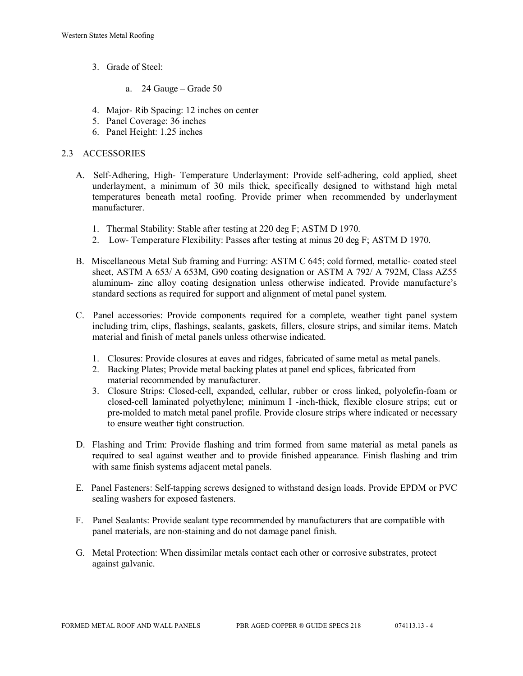- 3. Grade of Steel:
	- a. 24 Gauge Grade 50
- 4. Major- Rib Spacing: 12 inches on center
- 5. Panel Coverage: 36 inches
- 6. Panel Height: 1.25 inches

## 2.3 ACCESSORIES

- A. Self-Adhering, High- Temperature Underlayment: Provide self-adhering, cold applied, sheet underlayment, a minimum of 30 mils thick, specifically designed to withstand high metal temperatures beneath metal roofing. Provide primer when recommended by underlayment manufacturer.
	- 1. Thermal Stability: Stable after testing at 220 deg F; ASTM D 1970.
	- 2. Low- Temperature Flexibility: Passes after testing at minus 20 deg F; ASTM D 1970.
- B. Miscellaneous Metal Sub framing and Furring: ASTM C 645; cold formed, metallic- coated steel sheet, ASTM A 653/ A 653M, G90 coating designation or ASTM A 792/ A 792M, Class AZ55 aluminum- zinc alloy coating designation unless otherwise indicated. Provide manufacture's standard sections as required for support and alignment of metal panel system.
- C. Panel accessories: Provide components required for a complete, weather tight panel system including trim, clips, flashings, sealants, gaskets, fillers, closure strips, and similar items. Match material and finish of metal panels unless otherwise indicated.
	- 1. Closures: Provide closures at eaves and ridges, fabricated of same metal as metal panels.
	- 2. Backing Plates; Provide metal backing plates at panel end splices, fabricated from material recommended by manufacturer.
	- 3. Closure Strips: Closed-cell, expanded, cellular, rubber or cross linked, polyolefin-foam or closed-cell laminated polyethylene; minimum I -inch-thick, flexible closure strips; cut or pre-molded to match metal panel profile. Provide closure strips where indicated or necessary to ensure weather tight construction.
- D. Flashing and Trim: Provide flashing and trim formed from same material as metal panels as required to seal against weather and to provide finished appearance. Finish flashing and trim with same finish systems adjacent metal panels.
- E. Panel Fasteners: Self-tapping screws designed to withstand design loads. Provide EPDM or PVC sealing washers for exposed fasteners.
- F. Panel Sealants: Provide sealant type recommended by manufacturers that are compatible with panel materials, are non-staining and do not damage panel finish.
- G. Metal Protection: When dissimilar metals contact each other or corrosive substrates, protect against galvanic.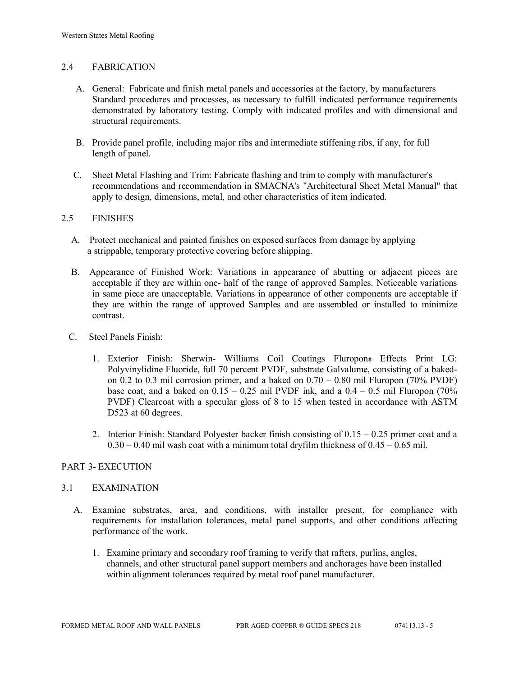## 2.4 FABRICATION

- A. General: Fabricate and finish metal panels and accessories at the factory, by manufacturers Standard procedures and processes, as necessary to fulfill indicated performance requirements demonstrated by laboratory testing. Comply with indicated profiles and with dimensional and structural requirements.
- B. Provide panel profile, including major ribs and intermediate stiffening ribs, if any, for full length of panel.
- C. Sheet Metal Flashing and Trim: Fabricate flashing and trim to comply with manufacturer's recommendations and recommendation in SMACNA's "Architectural Sheet Metal Manual" that apply to design, dimensions, metal, and other characteristics of item indicated.

## 2.5 FINISHES

- A. Protect mechanical and painted finishes on exposed surfaces from damage by applying a strippable, temporary protective covering before shipping.
- B. Appearance of Finished Work: Variations in appearance of abutting or adjacent pieces are acceptable if they are within one- half of the range of approved Samples. Noticeable variations in same piece are unacceptable. Variations in appearance of other components are acceptable if they are within the range of approved Samples and are assembled or installed to minimize contrast.
- C. Steel Panels Finish:
	- 1. Exterior Finish: Sherwin- Williams Coil Coatings Fluropon® Effects Print LG: Polyvinylidine Fluoride, full 70 percent PVDF, substrate Galvalume, consisting of a bakedon 0.2 to 0.3 mil corrosion primer, and a baked on  $0.70 - 0.80$  mil Fluropon (70% PVDF) base coat, and a baked on  $0.15 - 0.25$  mil PVDF ink, and a  $0.4 - 0.5$  mil Fluropon (70%) PVDF) Clearcoat with a specular gloss of 8 to 15 when tested in accordance with ASTM D523 at 60 degrees.
	- 2. Interior Finish: Standard Polyester backer finish consisting of  $0.15 0.25$  primer coat and a  $0.30 - 0.40$  mil wash coat with a minimum total dryfilm thickness of  $0.45 - 0.65$  mil.

## PART 3- EXECUTION

#### 3.1 EXAMINATION

- A. Examine substrates, area, and conditions, with installer present, for compliance with requirements for installation tolerances, metal panel supports, and other conditions affecting performance of the work.
	- 1. Examine primary and secondary roof framing to verify that rafters, purlins, angles, channels, and other structural panel support members and anchorages have been installed within alignment tolerances required by metal roof panel manufacturer.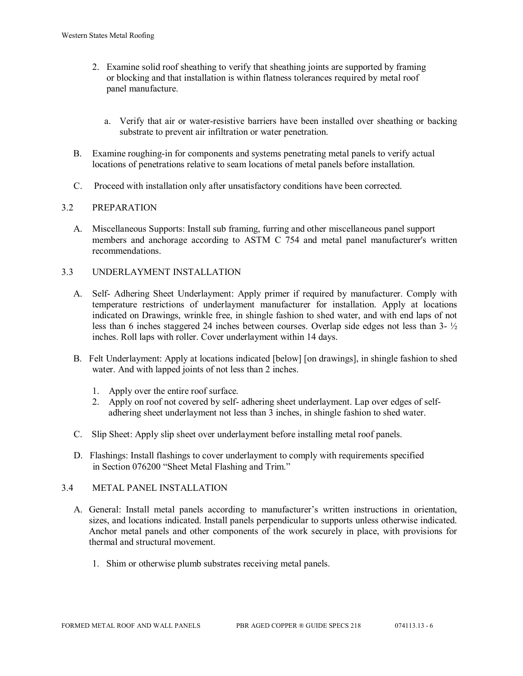- 2. Examine solid roof sheathing to verify that sheathing joints are supported by framing or blocking and that installation is within flatness tolerances required by metal roof panel manufacture.
	- a. Verify that air or water-resistive barriers have been installed over sheathing or backing substrate to prevent air infiltration or water penetration.
- B. Examine roughing-in for components and systems penetrating metal panels to verify actual locations of penetrations relative to seam locations of metal panels before installation.
- C. Proceed with installation only after unsatisfactory conditions have been corrected.

## 3.2 PREPARATION

- A. Miscellaneous Supports: Install sub framing, furring and other miscellaneous panel support members and anchorage according to ASTM C 754 and metal panel manufacturer's written recommendations.
- 3.3 UNDERLAYMENT INSTALLATION
	- A. Self- Adhering Sheet Underlayment: Apply primer if required by manufacturer. Comply with temperature restrictions of underlayment manufacturer for installation. Apply at locations indicated on Drawings, wrinkle free, in shingle fashion to shed water, and with end laps of not less than 6 inches staggered 24 inches between courses. Overlap side edges not less than 3- ½ inches. Roll laps with roller. Cover underlayment within 14 days.
	- B. Felt Underlayment: Apply at locations indicated [below] [on drawings], in shingle fashion to shed water. And with lapped joints of not less than 2 inches.
		- 1. Apply over the entire roof surface.
		- 2. Apply on roof not covered by self- adhering sheet underlayment. Lap over edges of self adhering sheet underlayment not less than 3 inches, in shingle fashion to shed water.
	- C. Slip Sheet: Apply slip sheet over underlayment before installing metal roof panels.
	- D. Flashings: Install flashings to cover underlayment to comply with requirements specified in Section 076200 "Sheet Metal Flashing and Trim."

## 3.4 METAL PANEL INSTALLATION

- A. General: Install metal panels according to manufacturer's written instructions in orientation, sizes, and locations indicated. Install panels perpendicular to supports unless otherwise indicated. Anchor metal panels and other components of the work securely in place, with provisions for thermal and structural movement.
	- 1. Shim or otherwise plumb substrates receiving metal panels.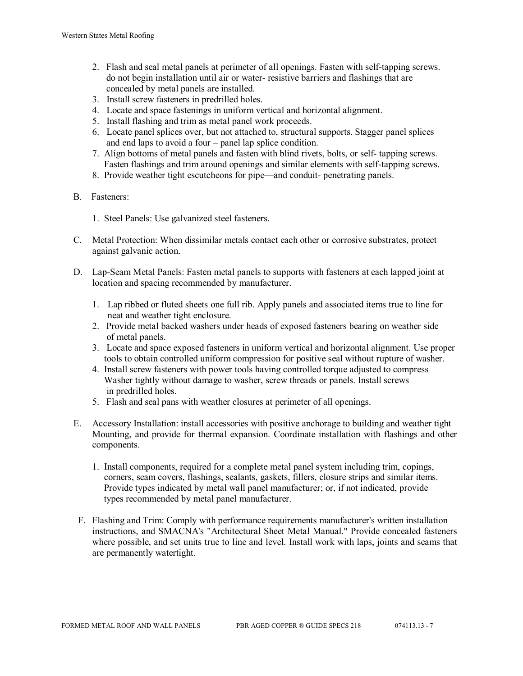- 2. Flash and seal metal panels at perimeter of all openings. Fasten with self-tapping screws. do not begin installation until air or water- resistive barriers and flashings that are concealed by metal panels are installed.
- 3. Install screw fasteners in predrilled holes.
- 4. Locate and space fastenings in uniform vertical and horizontal alignment.
- 5. Install flashing and trim as metal panel work proceeds.
- 6. Locate panel splices over, but not attached to, structural supports. Stagger panel splices and end laps to avoid a four – panel lap splice condition.
- 7. Align bottoms of metal panels and fasten with blind rivets, bolts, or self- tapping screws. Fasten flashings and trim around openings and similar elements with self-tapping screws.
- 8. Provide weather tight escutcheons for pipe—and conduit- penetrating panels.
- B. Fasteners:
	- 1. Steel Panels: Use galvanized steel fasteners.
- C. Metal Protection: When dissimilar metals contact each other or corrosive substrates, protect against galvanic action.
- D. Lap-Seam Metal Panels: Fasten metal panels to supports with fasteners at each lapped joint at location and spacing recommended by manufacturer.
	- 1. Lap ribbed or fluted sheets one full rib. Apply panels and associated items true to line for neat and weather tight enclosure.
	- 2. Provide metal backed washers under heads of exposed fasteners bearing on weather side of metal panels.
	- 3. Locate and space exposed fasteners in uniform vertical and horizontal alignment. Use proper tools to obtain controlled uniform compression for positive seal without rupture of washer.
	- 4. Install screw fasteners with power tools having controlled torque adjusted to compress Washer tightly without damage to washer, screw threads or panels. Install screws in predrilled holes.
	- 5. Flash and seal pans with weather closures at perimeter of all openings.
- E. Accessory Installation: install accessories with positive anchorage to building and weather tight Mounting, and provide for thermal expansion. Coordinate installation with flashings and other components.
	- 1. Install components, required for a complete metal panel system including trim, copings, corners, seam covers, flashings, sealants, gaskets, fillers, closure strips and similar items. Provide types indicated by metal wall panel manufacturer; or, if not indicated, provide types recommended by metal panel manufacturer.
- F. Flashing and Trim: Comply with performance requirements manufacturer's written installation instructions, and SMACNA's "Architectural Sheet Metal Manual." Provide concealed fasteners where possible, and set units true to line and level. Install work with laps, joints and seams that are permanently watertight.